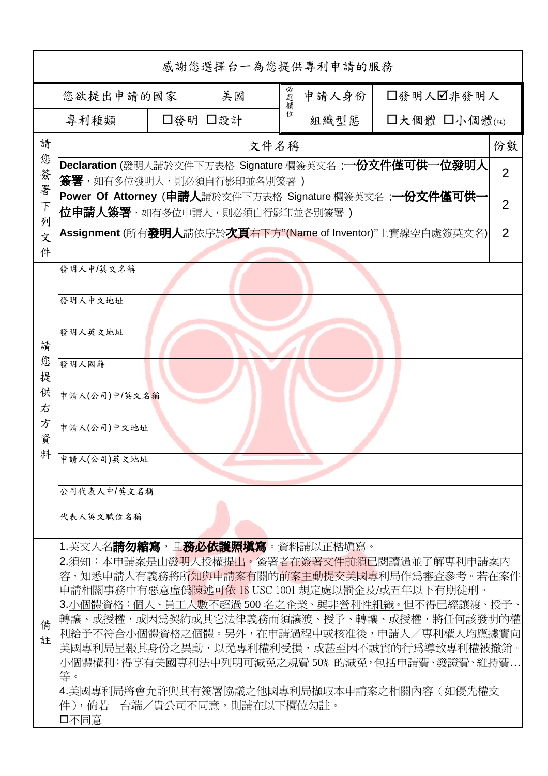| 感謝您選擇台一為您提供專利申請的服務         |                                                                                                                                                                                                                 |     |       |           |      |                                                          |                |  |
|----------------------------|-----------------------------------------------------------------------------------------------------------------------------------------------------------------------------------------------------------------|-----|-------|-----------|------|----------------------------------------------------------|----------------|--|
| 美國<br>您欲提出申請的國家            |                                                                                                                                                                                                                 | 必選欄 | 申請人身份 | □發明人図非發明人 |      |                                                          |                |  |
|                            | 專利種類<br>□發明 □設計                                                                                                                                                                                                 |     |       | 位         | 組織型態 | □大個體 □小個體(註)                                             |                |  |
| 請                          | 文件名稱                                                                                                                                                                                                            |     |       |           |      |                                                          | 份數             |  |
| 您<br>簽<br>署<br>F<br>列<br>文 | Declaration (發明人請於文件下方表格 Signature 欄簽英文名 ; <b>一份文件僅可供一位發明人</b><br>$\overline{2}$<br><b>簽署</b> ,如有多位發明人,則必須自行影印並各別簽署 )                                                                                           |     |       |           |      |                                                          |                |  |
|                            | <b>位申請人簽署</b> ,如有多位申請人,則必須自行影印並各別簽署 )                                                                                                                                                                           |     |       |           |      | Power Of Attorney (申請人請於文件下方表格 Signature 欄簽英文名 ;一份文件僅可供- | $\overline{2}$ |  |
|                            | $\overline{2}$<br>Assignment (所有發明人請依序於次頁右下方"(Name of Inventor)"上實線空白處簽英文名)                                                                                                                                     |     |       |           |      |                                                          |                |  |
| 件                          |                                                                                                                                                                                                                 |     |       |           |      |                                                          |                |  |
|                            | 發明人中/英文名稱                                                                                                                                                                                                       |     |       |           |      |                                                          |                |  |
|                            | 發明人中文地址                                                                                                                                                                                                         |     |       |           |      |                                                          |                |  |
| 請                          | 發明人英文地址                                                                                                                                                                                                         |     |       |           |      |                                                          |                |  |
| 您<br>提                     | 發明人國籍                                                                                                                                                                                                           |     |       |           |      |                                                          |                |  |
| 供<br>右                     | 申請人(公司)中/英文名稱                                                                                                                                                                                                   |     |       |           |      |                                                          |                |  |
| 方<br>資                     | 申請人(公司)中文地址                                                                                                                                                                                                     |     |       |           |      |                                                          |                |  |
| 料                          | 申請人(公司)英文地址                                                                                                                                                                                                     |     |       |           |      |                                                          |                |  |
|                            | 公司代表人中/英文名稱                                                                                                                                                                                                     |     |       |           |      |                                                          |                |  |
|                            | 代表人英文職位名稱                                                                                                                                                                                                       |     |       |           |      |                                                          |                |  |
|                            | 1.英文人名 <b>請勿縮寫</b> ,且 <b>務必依護照塡寫</b> 。資料請以正楷塡寫。                                                                                                                                                                 |     |       |           |      |                                                          |                |  |
| 備<br>註                     | 2.須知:本申請案是由發明人授權提出。簽署者在簽署文件前須已閱讀過並了解專利申請案內<br> 容,知悉申請人有義務將所知與申請案有關的前案主動提交美國專利局作爲審查參考。若在案件 <br>申請相關事務中有惡意虛僞 <mark>陳述可依 18 USC 1001 規定處以罰</mark> 金及/或五年以下有期徒刑。<br>3.小個體資格:個人、員工人數不超過 500 名之企業、與非營利性組織。但不得已經讓渡、授予、 |     |       |           |      |                                                          |                |  |
|                            | 轉讓、或授權,或因爲契約或其它法律義務而須讓渡、授予、轉讓、或授權,將任何該發明的權<br>利給予不符合小個體資格之個體。另外,在申請過程中或核准後,申請人/專利權人均應據實向<br>美國專利局呈報其身份之異動,以免專利權利受損,或甚至因不誠實的行爲導致專利權被撤銷。<br>小個體權利:得享有美國專利法中列明可減免之規費 50% 的減免,包括申請費、發證費、維持費                         |     |       |           |      |                                                          |                |  |
|                            | 等。<br> 4.美國專利局將會允許與其有簽署協議之他國專利局擷取本申請案之相關內容(如優先權文<br> 件),倘若 台端/貴公司不同意,則請在以下欄位勾註。<br>口不同意                                                                                                                         |     |       |           |      |                                                          |                |  |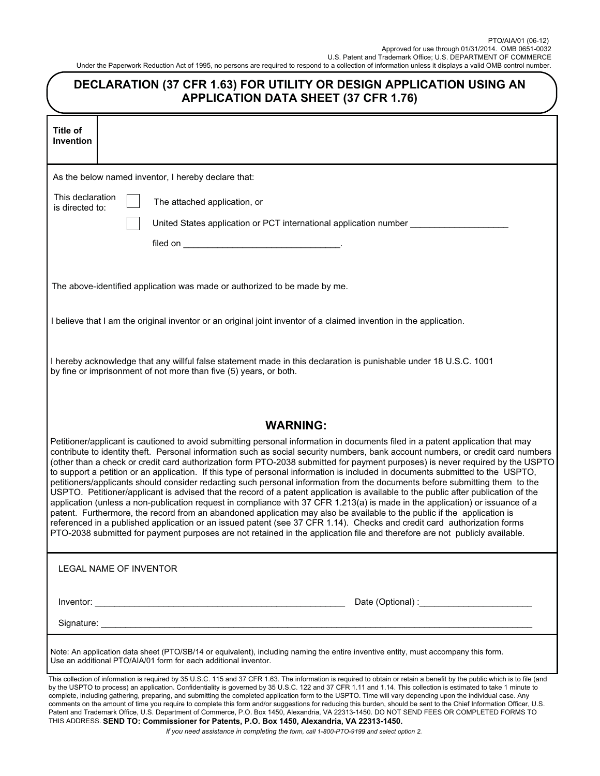| DECLARATION (37 CFR 1.63) FOR UTILITY OR DESIGN APPLICATION USING AN<br><b>APPLICATION DATA SHEET (37 CFR 1.76)</b>                                                                                                                                                                                                                                                                                                                                                                                                                                                                                                                                                                                                                                                                                                                                                                                                                                                                                                                                                                                                                                                                                                                                                                                                             |                                                                                                                                                                                                                                                                                                                                                                                                                                                                                                                |  |  |
|---------------------------------------------------------------------------------------------------------------------------------------------------------------------------------------------------------------------------------------------------------------------------------------------------------------------------------------------------------------------------------------------------------------------------------------------------------------------------------------------------------------------------------------------------------------------------------------------------------------------------------------------------------------------------------------------------------------------------------------------------------------------------------------------------------------------------------------------------------------------------------------------------------------------------------------------------------------------------------------------------------------------------------------------------------------------------------------------------------------------------------------------------------------------------------------------------------------------------------------------------------------------------------------------------------------------------------|----------------------------------------------------------------------------------------------------------------------------------------------------------------------------------------------------------------------------------------------------------------------------------------------------------------------------------------------------------------------------------------------------------------------------------------------------------------------------------------------------------------|--|--|
| <b>Title of</b><br><b>Invention</b>                                                                                                                                                                                                                                                                                                                                                                                                                                                                                                                                                                                                                                                                                                                                                                                                                                                                                                                                                                                                                                                                                                                                                                                                                                                                                             |                                                                                                                                                                                                                                                                                                                                                                                                                                                                                                                |  |  |
|                                                                                                                                                                                                                                                                                                                                                                                                                                                                                                                                                                                                                                                                                                                                                                                                                                                                                                                                                                                                                                                                                                                                                                                                                                                                                                                                 | As the below named inventor, I hereby declare that:                                                                                                                                                                                                                                                                                                                                                                                                                                                            |  |  |
| This declaration<br>is directed to:                                                                                                                                                                                                                                                                                                                                                                                                                                                                                                                                                                                                                                                                                                                                                                                                                                                                                                                                                                                                                                                                                                                                                                                                                                                                                             | The attached application, or                                                                                                                                                                                                                                                                                                                                                                                                                                                                                   |  |  |
|                                                                                                                                                                                                                                                                                                                                                                                                                                                                                                                                                                                                                                                                                                                                                                                                                                                                                                                                                                                                                                                                                                                                                                                                                                                                                                                                 | United States application or PCT international application number _____                                                                                                                                                                                                                                                                                                                                                                                                                                        |  |  |
|                                                                                                                                                                                                                                                                                                                                                                                                                                                                                                                                                                                                                                                                                                                                                                                                                                                                                                                                                                                                                                                                                                                                                                                                                                                                                                                                 |                                                                                                                                                                                                                                                                                                                                                                                                                                                                                                                |  |  |
|                                                                                                                                                                                                                                                                                                                                                                                                                                                                                                                                                                                                                                                                                                                                                                                                                                                                                                                                                                                                                                                                                                                                                                                                                                                                                                                                 | The above-identified application was made or authorized to be made by me.                                                                                                                                                                                                                                                                                                                                                                                                                                      |  |  |
|                                                                                                                                                                                                                                                                                                                                                                                                                                                                                                                                                                                                                                                                                                                                                                                                                                                                                                                                                                                                                                                                                                                                                                                                                                                                                                                                 | I believe that I am the original inventor or an original joint inventor of a claimed invention in the application.                                                                                                                                                                                                                                                                                                                                                                                             |  |  |
| I hereby acknowledge that any willful false statement made in this declaration is punishable under 18 U.S.C. 1001<br>by fine or imprisonment of not more than five (5) years, or both.                                                                                                                                                                                                                                                                                                                                                                                                                                                                                                                                                                                                                                                                                                                                                                                                                                                                                                                                                                                                                                                                                                                                          |                                                                                                                                                                                                                                                                                                                                                                                                                                                                                                                |  |  |
|                                                                                                                                                                                                                                                                                                                                                                                                                                                                                                                                                                                                                                                                                                                                                                                                                                                                                                                                                                                                                                                                                                                                                                                                                                                                                                                                 | <b>WARNING:</b>                                                                                                                                                                                                                                                                                                                                                                                                                                                                                                |  |  |
| Petitioner/applicant is cautioned to avoid submitting personal information in documents filed in a patent application that may<br>contribute to identity theft. Personal information such as social security numbers, bank account numbers, or credit card numbers<br>(other than a check or credit card authorization form PTO-2038 submitted for payment purposes) is never required by the USPTO<br>to support a petition or an application. If this type of personal information is included in documents submitted to the USPTO,<br>petitioners/applicants should consider redacting such personal information from the documents before submitting them to the<br>USPTO. Petitioner/applicant is advised that the record of a patent application is available to the public after publication of the<br>application (unless a non-publication request in compliance with 37 CFR 1.213(a) is made in the application) or issuance of a<br>patent. Furthermore, the record from an abandoned application may also be available to the public if the application is<br>referenced in a published application or an issued patent (see 37 CFR 1.14). Checks and credit card authorization forms<br>PTO-2038 submitted for payment purposes are not retained in the application file and therefore are not publicly available. |                                                                                                                                                                                                                                                                                                                                                                                                                                                                                                                |  |  |
|                                                                                                                                                                                                                                                                                                                                                                                                                                                                                                                                                                                                                                                                                                                                                                                                                                                                                                                                                                                                                                                                                                                                                                                                                                                                                                                                 | LEGAL NAME OF INVENTOR                                                                                                                                                                                                                                                                                                                                                                                                                                                                                         |  |  |
|                                                                                                                                                                                                                                                                                                                                                                                                                                                                                                                                                                                                                                                                                                                                                                                                                                                                                                                                                                                                                                                                                                                                                                                                                                                                                                                                 |                                                                                                                                                                                                                                                                                                                                                                                                                                                                                                                |  |  |
|                                                                                                                                                                                                                                                                                                                                                                                                                                                                                                                                                                                                                                                                                                                                                                                                                                                                                                                                                                                                                                                                                                                                                                                                                                                                                                                                 |                                                                                                                                                                                                                                                                                                                                                                                                                                                                                                                |  |  |
|                                                                                                                                                                                                                                                                                                                                                                                                                                                                                                                                                                                                                                                                                                                                                                                                                                                                                                                                                                                                                                                                                                                                                                                                                                                                                                                                 | Note: An application data sheet (PTO/SB/14 or equivalent), including naming the entire inventive entity, must accompany this form.<br>Use an additional PTO/AIA/01 form for each additional inventor.                                                                                                                                                                                                                                                                                                          |  |  |
|                                                                                                                                                                                                                                                                                                                                                                                                                                                                                                                                                                                                                                                                                                                                                                                                                                                                                                                                                                                                                                                                                                                                                                                                                                                                                                                                 | This collection of information is required by 35 U.S.C. 115 and 37 CFR 1.63. The information is required to obtain or retain a benefit by the public which is to file (and<br>by the USPTO to process) an application. Confidentiality is governed by 35 U.S.C. 122 and 37 CFR 1.11 and 1.14. This collection is estimated to take 1 minute to<br>complete, including gathering, preparing, and submitting the completed application form to the USPTO. Time will vary depending upon the individual case. Any |  |  |

Patent and Trademark Office, U.S. Department of Commerce, P.O. Box 1450, Alexandria, VA 22313-1450. DO NOT SEND FEES OR COMPLETED FORMS TO THIS ADDRESS. **SEND TO: Commissioner for Patents, P.O. Box 1450, Alexandria, VA 22313-1450.**  *If you need assistance in completing the form, call 1-800-PTO-9199 and select option 2.* 

comments on the amount of time you require to complete this form and/or suggestions for reducing this burden, should be sent to the Chief Information Officer, U.S.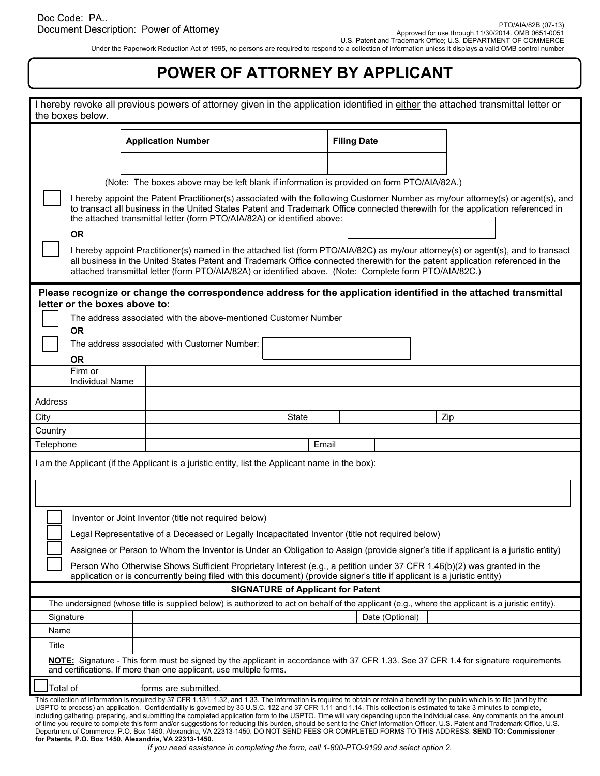Under the Paperwork Reduction Act of 1995, no persons are required to respond to a collection of information unless it displays a valid OMB control number

## **POWER OF ATTORNEY BY APPLICANT**

|                                                                                                                                                                                                                                                                                                                                                                               | I hereby revoke all previous powers of attorney given in the application identified in either the attached transmittal letter or                                                                                                                                                                                                                                                                                                                                                                                                                                                                                                                                                    |                                          |     |  |  |  |
|-------------------------------------------------------------------------------------------------------------------------------------------------------------------------------------------------------------------------------------------------------------------------------------------------------------------------------------------------------------------------------|-------------------------------------------------------------------------------------------------------------------------------------------------------------------------------------------------------------------------------------------------------------------------------------------------------------------------------------------------------------------------------------------------------------------------------------------------------------------------------------------------------------------------------------------------------------------------------------------------------------------------------------------------------------------------------------|------------------------------------------|-----|--|--|--|
| the boxes below.                                                                                                                                                                                                                                                                                                                                                              |                                                                                                                                                                                                                                                                                                                                                                                                                                                                                                                                                                                                                                                                                     |                                          |     |  |  |  |
|                                                                                                                                                                                                                                                                                                                                                                               | <b>Application Number</b>                                                                                                                                                                                                                                                                                                                                                                                                                                                                                                                                                                                                                                                           | <b>Filing Date</b>                       |     |  |  |  |
|                                                                                                                                                                                                                                                                                                                                                                               |                                                                                                                                                                                                                                                                                                                                                                                                                                                                                                                                                                                                                                                                                     |                                          |     |  |  |  |
|                                                                                                                                                                                                                                                                                                                                                                               |                                                                                                                                                                                                                                                                                                                                                                                                                                                                                                                                                                                                                                                                                     |                                          |     |  |  |  |
|                                                                                                                                                                                                                                                                                                                                                                               | (Note: The boxes above may be left blank if information is provided on form PTO/AIA/82A.)                                                                                                                                                                                                                                                                                                                                                                                                                                                                                                                                                                                           |                                          |     |  |  |  |
| I hereby appoint the Patent Practitioner(s) associated with the following Customer Number as my/our attorney(s) or agent(s), and<br>to transact all business in the United States Patent and Trademark Office connected therewith for the application referenced in<br>the attached transmittal letter (form PTO/AIA/82A) or identified above:                                |                                                                                                                                                                                                                                                                                                                                                                                                                                                                                                                                                                                                                                                                                     |                                          |     |  |  |  |
| <b>OR</b>                                                                                                                                                                                                                                                                                                                                                                     |                                                                                                                                                                                                                                                                                                                                                                                                                                                                                                                                                                                                                                                                                     |                                          |     |  |  |  |
| I hereby appoint Practitioner(s) named in the attached list (form PTO/AIA/82C) as my/our attorney(s) or agent(s), and to transact<br>all business in the United States Patent and Trademark Office connected therewith for the patent application referenced in the<br>attached transmittal letter (form PTO/AIA/82A) or identified above. (Note: Complete form PTO/AIA/82C.) |                                                                                                                                                                                                                                                                                                                                                                                                                                                                                                                                                                                                                                                                                     |                                          |     |  |  |  |
| letter or the boxes above to:                                                                                                                                                                                                                                                                                                                                                 | Please recognize or change the correspondence address for the application identified in the attached transmittal                                                                                                                                                                                                                                                                                                                                                                                                                                                                                                                                                                    |                                          |     |  |  |  |
|                                                                                                                                                                                                                                                                                                                                                                               | The address associated with the above-mentioned Customer Number                                                                                                                                                                                                                                                                                                                                                                                                                                                                                                                                                                                                                     |                                          |     |  |  |  |
| <b>OR</b>                                                                                                                                                                                                                                                                                                                                                                     |                                                                                                                                                                                                                                                                                                                                                                                                                                                                                                                                                                                                                                                                                     |                                          |     |  |  |  |
|                                                                                                                                                                                                                                                                                                                                                                               | The address associated with Customer Number:                                                                                                                                                                                                                                                                                                                                                                                                                                                                                                                                                                                                                                        |                                          |     |  |  |  |
| <b>OR</b>                                                                                                                                                                                                                                                                                                                                                                     |                                                                                                                                                                                                                                                                                                                                                                                                                                                                                                                                                                                                                                                                                     |                                          |     |  |  |  |
| Firm or<br><b>Individual Name</b>                                                                                                                                                                                                                                                                                                                                             |                                                                                                                                                                                                                                                                                                                                                                                                                                                                                                                                                                                                                                                                                     |                                          |     |  |  |  |
| Address                                                                                                                                                                                                                                                                                                                                                                       |                                                                                                                                                                                                                                                                                                                                                                                                                                                                                                                                                                                                                                                                                     |                                          |     |  |  |  |
| City                                                                                                                                                                                                                                                                                                                                                                          | <b>State</b>                                                                                                                                                                                                                                                                                                                                                                                                                                                                                                                                                                                                                                                                        |                                          | Zip |  |  |  |
| Country                                                                                                                                                                                                                                                                                                                                                                       |                                                                                                                                                                                                                                                                                                                                                                                                                                                                                                                                                                                                                                                                                     |                                          |     |  |  |  |
| Telephone                                                                                                                                                                                                                                                                                                                                                                     |                                                                                                                                                                                                                                                                                                                                                                                                                                                                                                                                                                                                                                                                                     | Email                                    |     |  |  |  |
|                                                                                                                                                                                                                                                                                                                                                                               | I am the Applicant (if the Applicant is a juristic entity, list the Applicant name in the box):                                                                                                                                                                                                                                                                                                                                                                                                                                                                                                                                                                                     |                                          |     |  |  |  |
|                                                                                                                                                                                                                                                                                                                                                                               |                                                                                                                                                                                                                                                                                                                                                                                                                                                                                                                                                                                                                                                                                     |                                          |     |  |  |  |
|                                                                                                                                                                                                                                                                                                                                                                               |                                                                                                                                                                                                                                                                                                                                                                                                                                                                                                                                                                                                                                                                                     |                                          |     |  |  |  |
|                                                                                                                                                                                                                                                                                                                                                                               |                                                                                                                                                                                                                                                                                                                                                                                                                                                                                                                                                                                                                                                                                     |                                          |     |  |  |  |
|                                                                                                                                                                                                                                                                                                                                                                               | Inventor or Joint Inventor (title not required below)                                                                                                                                                                                                                                                                                                                                                                                                                                                                                                                                                                                                                               |                                          |     |  |  |  |
|                                                                                                                                                                                                                                                                                                                                                                               | Legal Representative of a Deceased or Legally Incapacitated Inventor (title not required below)                                                                                                                                                                                                                                                                                                                                                                                                                                                                                                                                                                                     |                                          |     |  |  |  |
|                                                                                                                                                                                                                                                                                                                                                                               | Assignee or Person to Whom the Inventor is Under an Obligation to Assign (provide signer's title if applicant is a juristic entity)                                                                                                                                                                                                                                                                                                                                                                                                                                                                                                                                                 |                                          |     |  |  |  |
| Person Who Otherwise Shows Sufficient Proprietary Interest (e.g., a petition under 37 CFR 1.46(b)(2) was granted in the                                                                                                                                                                                                                                                       |                                                                                                                                                                                                                                                                                                                                                                                                                                                                                                                                                                                                                                                                                     |                                          |     |  |  |  |
| application or is concurrently being filed with this document) (provide signer's title if applicant is a juristic entity)                                                                                                                                                                                                                                                     |                                                                                                                                                                                                                                                                                                                                                                                                                                                                                                                                                                                                                                                                                     |                                          |     |  |  |  |
|                                                                                                                                                                                                                                                                                                                                                                               |                                                                                                                                                                                                                                                                                                                                                                                                                                                                                                                                                                                                                                                                                     | <b>SIGNATURE of Applicant for Patent</b> |     |  |  |  |
|                                                                                                                                                                                                                                                                                                                                                                               | The undersigned (whose title is supplied below) is authorized to act on behalf of the applicant (e.g., where the applicant is a juristic entity).                                                                                                                                                                                                                                                                                                                                                                                                                                                                                                                                   |                                          |     |  |  |  |
| Signature                                                                                                                                                                                                                                                                                                                                                                     |                                                                                                                                                                                                                                                                                                                                                                                                                                                                                                                                                                                                                                                                                     | Date (Optional)                          |     |  |  |  |
| Name                                                                                                                                                                                                                                                                                                                                                                          |                                                                                                                                                                                                                                                                                                                                                                                                                                                                                                                                                                                                                                                                                     |                                          |     |  |  |  |
| Title<br>NOTE: Signature - This form must be signed by the applicant in accordance with 37 CFR 1.33. See 37 CFR 1.4 for signature requirements                                                                                                                                                                                                                                |                                                                                                                                                                                                                                                                                                                                                                                                                                                                                                                                                                                                                                                                                     |                                          |     |  |  |  |
|                                                                                                                                                                                                                                                                                                                                                                               | and certifications. If more than one applicant, use multiple forms.                                                                                                                                                                                                                                                                                                                                                                                                                                                                                                                                                                                                                 |                                          |     |  |  |  |
| Total of                                                                                                                                                                                                                                                                                                                                                                      | forms are submitted.                                                                                                                                                                                                                                                                                                                                                                                                                                                                                                                                                                                                                                                                |                                          |     |  |  |  |
|                                                                                                                                                                                                                                                                                                                                                                               | This collection of information is required by 37 CFR 1.131, 1.32, and 1.33. The information is required to obtain or retain a benefit by the public which is to file (and by the                                                                                                                                                                                                                                                                                                                                                                                                                                                                                                    |                                          |     |  |  |  |
|                                                                                                                                                                                                                                                                                                                                                                               | USPTO to process) an application. Confidentiality is governed by 35 U.S.C. 122 and 37 CFR 1.11 and 1.14. This collection is estimated to take 3 minutes to complete,<br>including gathering, preparing, and submitting the completed application form to the USPTO. Time will vary depending upon the individual case. Any comments on the amount<br>of time you require to complete this form and/or suggestions for reducing this burden, should be sent to the Chief Information Officer, U.S. Patent and Trademark Office, U.S.<br>Department of Commerce, P.O. Box 1450, Alexandria, VA 22313-1450. DO NOT SEND FEES OR COMPLETED FORMS TO THIS ADDRESS. SEND TO: Commissioner |                                          |     |  |  |  |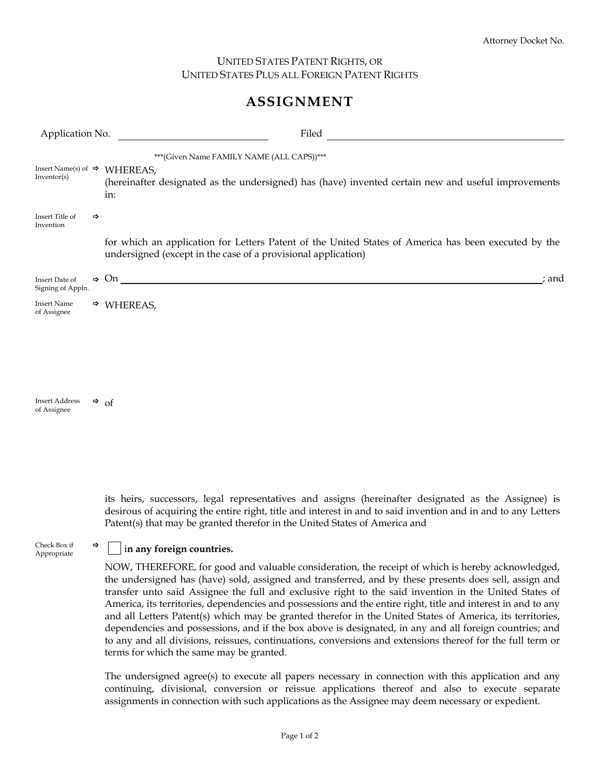## UNITED STATES PATENT RIGHTS, OR UNITED STATES PLUS ALL FOREIGN PATENT RIGHTS

## **ASSIGNMENT**

| Application No.                                |               | Filed                                                                                                                                                                 |
|------------------------------------------------|---------------|-----------------------------------------------------------------------------------------------------------------------------------------------------------------------|
| Insert Name(s) of $\Rightarrow$<br>Inventor(s) |               | *** (Given Name FAMILY NAME (ALL CAPS))***<br>WHEREAS,<br>(hereinafter designated as the undersigned) has (have) invented certain new and useful improvements<br>in:  |
| Insert Title of<br>Invention                   | $\Rightarrow$ |                                                                                                                                                                       |
|                                                |               | for which an application for Letters Patent of the United States of America has been executed by the<br>undersigned (except in the case of a provisional application) |
| Insert Date of<br>Signing of Appln.            |               | $\Rightarrow$ On<br>; and                                                                                                                                             |
| <b>Insert Name</b><br>of Assignee              |               | $\Rightarrow$ WHEREAS,                                                                                                                                                |
|                                                |               |                                                                                                                                                                       |
|                                                |               |                                                                                                                                                                       |
|                                                |               |                                                                                                                                                                       |
| <b>Insert Address</b><br>of Assignee           |               | $\Rightarrow$ of                                                                                                                                                      |

its heirs, successors, legal representatives and assigns (hereinafter designated as the Assignee) is desirous of acquiring the entire right, title and interest in and to said invention and in and to any Letters Patent(s) that may be granted therefor in the United States of America and

## **|**  $\vert$  in any foreign countries.

Check Box if<br>Appropriate

NOW, THEREFORE, for good and valuable consideration, the receipt of which is hereby acknowledged, the undersigned has (have) sold, assigned and transferred, and by these presents does sell, assign and transfer unto said Assignee the full and exclusive right to the said invention in the United States of America, its territories, dependencies and possessions and the entire right, title and interest in and to any and all Letters Patent(s) which may be granted therefor in the United States of America, its territories, dependencies and possessions, and if the box above is designated, in any and all foreign countries; and to any and all divisions, reissues, continuations, conversions and extensions thereof for the full term or terms for which the same may be granted.

The undersigned agree(s) to execute all papers necessary in connection with this application and any continuing, divisional, conversion or reissue applications thereof and also to execute separate assignments in connection with such applications as the Assignee may deem necessary or expedient.